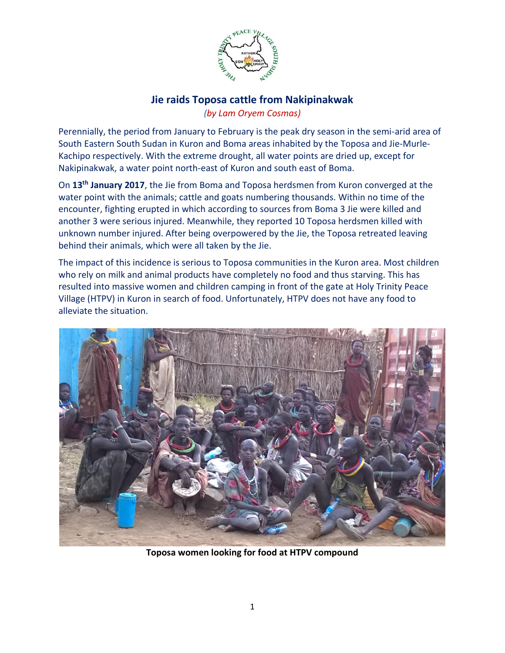

## **Jie raids Toposa cattle from Nakipinakwak** *(by Lam Oryem Cosmas)*

Perennially, the period from January to February is the peak dry season in the semi-arid area of South Eastern South Sudan in Kuron and Boma areas inhabited by the Toposa and Jie-Murle-Kachipo respectively. With the extreme drought, all water points are dried up, except for Nakipinakwak, a water point north-east of Kuron and south east of Boma.

On **13th January 2017**, the Jie from Boma and Toposa herdsmen from Kuron converged at the water point with the animals; cattle and goats numbering thousands. Within no time of the encounter, fighting erupted in which according to sources from Boma 3 Jie were killed and another 3 were serious injured. Meanwhile, they reported 10 Toposa herdsmen killed with unknown number injured. After being overpowered by the Jie, the Toposa retreated leaving behind their animals, which were all taken by the Jie.

The impact of this incidence is serious to Toposa communities in the Kuron area. Most children who rely on milk and animal products have completely no food and thus starving. This has resulted into massive women and children camping in front of the gate at Holy Trinity Peace Village (HTPV) in Kuron in search of food. Unfortunately, HTPV does not have any food to alleviate the situation.



**Toposa women looking for food at HTPV compound**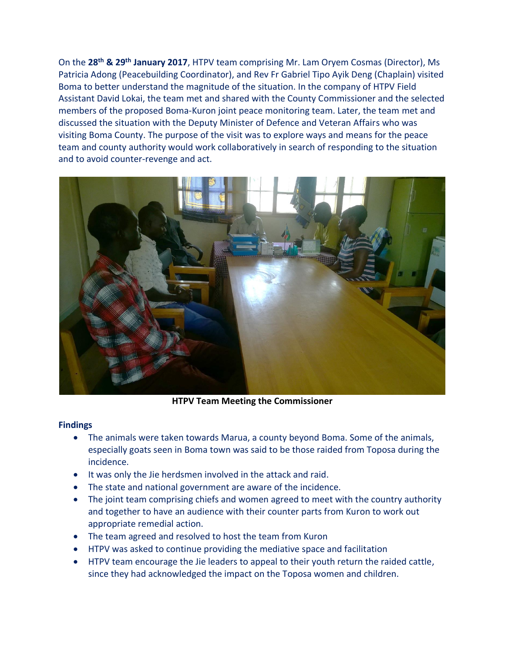On the **28th & 29th January 2017**, HTPV team comprising Mr. Lam Oryem Cosmas (Director), Ms Patricia Adong (Peacebuilding Coordinator), and Rev Fr Gabriel Tipo Ayik Deng (Chaplain) visited Boma to better understand the magnitude of the situation. In the company of HTPV Field Assistant David Lokai, the team met and shared with the County Commissioner and the selected members of the proposed Boma-Kuron joint peace monitoring team. Later, the team met and discussed the situation with the Deputy Minister of Defence and Veteran Affairs who was visiting Boma County. The purpose of the visit was to explore ways and means for the peace team and county authority would work collaboratively in search of responding to the situation and to avoid counter-revenge and act.



**HTPV Team Meeting the Commissioner**

## **Findings**

- The animals were taken towards Marua, a county beyond Boma. Some of the animals, especially goats seen in Boma town was said to be those raided from Toposa during the incidence.
- It was only the Jie herdsmen involved in the attack and raid.
- The state and national government are aware of the incidence.
- The joint team comprising chiefs and women agreed to meet with the country authority and together to have an audience with their counter parts from Kuron to work out appropriate remedial action.
- The team agreed and resolved to host the team from Kuron
- HTPV was asked to continue providing the mediative space and facilitation
- HTPV team encourage the Jie leaders to appeal to their youth return the raided cattle, since they had acknowledged the impact on the Toposa women and children.